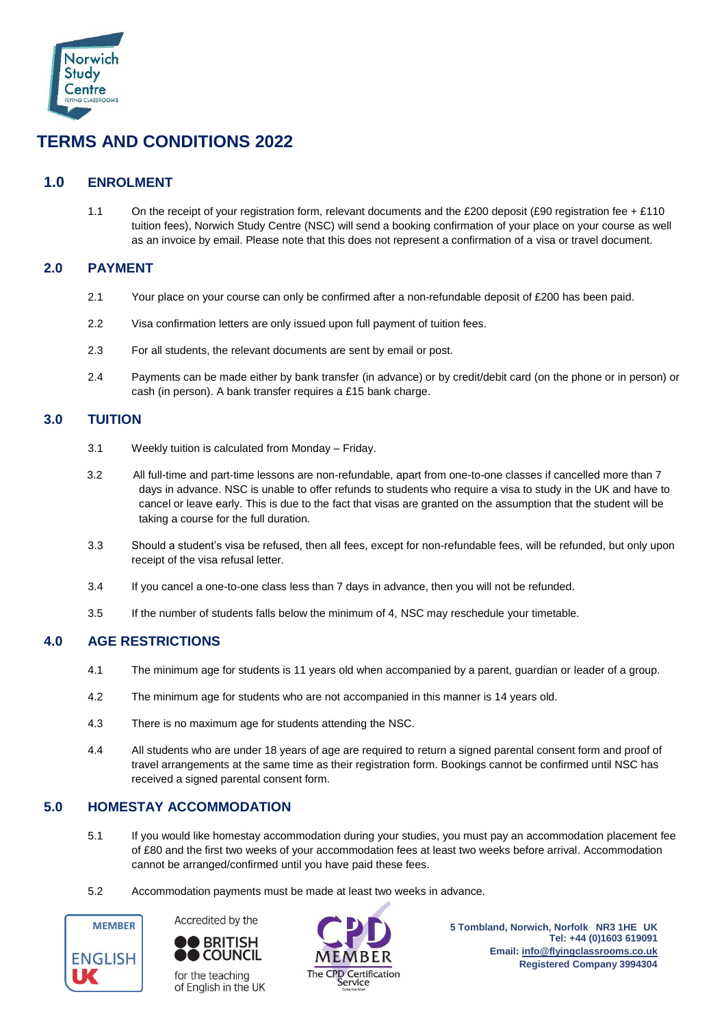

# **TERMS AND CONDITIONS 2022**

## **1.0 ENROLMENT**

1.1 On the receipt of your registration form, relevant documents and the £200 deposit (£90 registration fee + £110 tuition fees), Norwich Study Centre (NSC) will send a booking confirmation of your place on your course as well as an invoice by email. Please note that this does not represent a confirmation of a visa or travel document.

## **2.0 PAYMENT**

- 2.1 Your place on your course can only be confirmed after a non-refundable deposit of £200 has been paid.
- 2.2 Visa confirmation letters are only issued upon full payment of tuition fees.
- 2.3 For all students, the relevant documents are sent by email or post.
- 2.4 Payments can be made either by bank transfer (in advance) or by credit/debit card (on the phone or in person) or cash (in person). A bank transfer requires a £15 bank charge.

## **3.0 TUITION**

- 3.1 Weekly tuition is calculated from Monday Friday.
- 3.2 All full-time and part-time lessons are non-refundable, apart from one-to-one classes if cancelled more than 7 days in advance. NSC is unable to offer refunds to students who require a visa to study in the UK and have to cancel or leave early. This is due to the fact that visas are granted on the assumption that the student will be taking a course for the full duration.
- 3.3 Should a student's visa be refused, then all fees, except for non-refundable fees, will be refunded, but only upon receipt of the visa refusal letter.
- 3.4 If you cancel a one-to-one class less than 7 days in advance, then you will not be refunded.
- 3.5 If the number of students falls below the minimum of 4, NSC may reschedule your timetable.

## **4.0 AGE RESTRICTIONS**

- 4.1 The minimum age for students is 11 years old when accompanied by a parent, guardian or leader of a group.
- 4.2 The minimum age for students who are not accompanied in this manner is 14 years old.
- 4.3 There is no maximum age for students attending the NSC.
- 4.4 All students who are under 18 years of age are required to return a signed parental consent form and proof of travel arrangements at the same time as their registration form. Bookings cannot be confirmed until NSC has received a signed parental consent form.

## **5.0 HOMESTAY ACCOMMODATION**

- 5.1 If you would like homestay accommodation during your studies, you must pay an accommodation placement fee of £80 and the first two weeks of your accommodation fees at least two weeks before arrival. Accommodation cannot be arranged/confirmed until you have paid these fees.
- 5.2 Accommodation payments must be made at least two weeks in advance.





for the teaching of English in the UK



**5 Tombland, Norwich, Norfolk NR3 1HE UK Tel: +44 (0)1603 619091 Email: [info@flyingclassrooms.co.uk](mailto:info@flyingclassrooms.co.uk) Registered Company 3994304**<br>The CPD Certification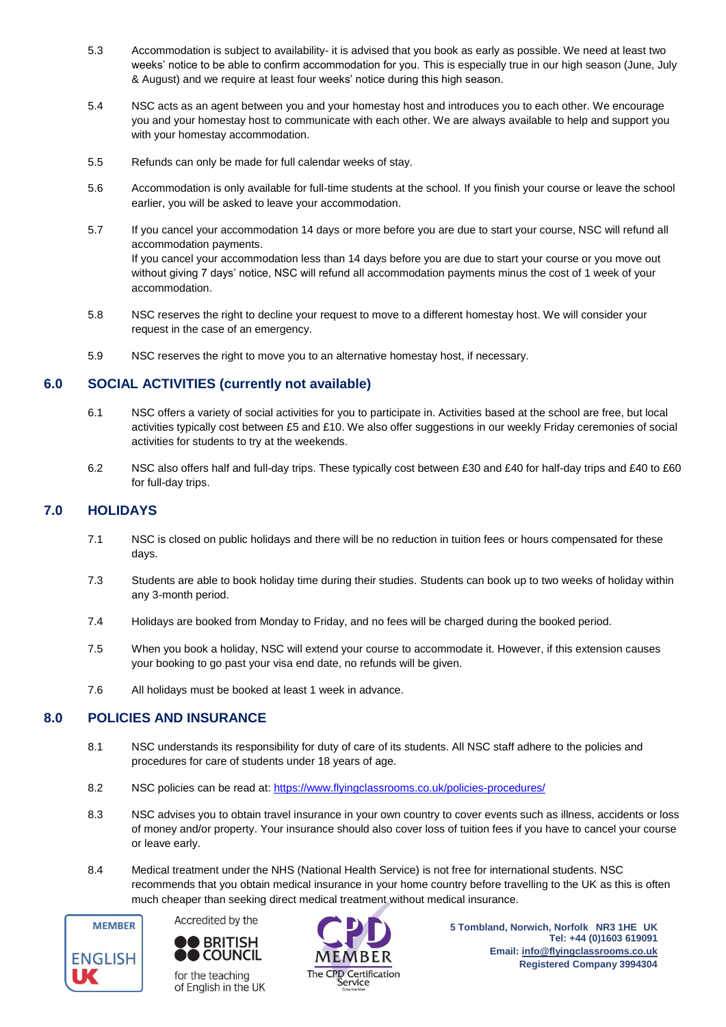- 5.3 Accommodation is subject to availability- it is advised that you book as early as possible. We need at least two weeks' notice to be able to confirm accommodation for you. This is especially true in our high season (June, July & August) and we require at least four weeks' notice during this high season.
- 5.4 NSC acts as an agent between you and your homestay host and introduces you to each other. We encourage you and your homestay host to communicate with each other. We are always available to help and support you with your homestay accommodation.
- 5.5 Refunds can only be made for full calendar weeks of stay.
- 5.6 Accommodation is only available for full-time students at the school. If you finish your course or leave the school earlier, you will be asked to leave your accommodation.
- 5.7 If you cancel your accommodation 14 days or more before you are due to start your course, NSC will refund all accommodation payments. If you cancel your accommodation less than 14 days before you are due to start your course or you move out without giving 7 days' notice, NSC will refund all accommodation payments minus the cost of 1 week of your accommodation.
- 5.8 NSC reserves the right to decline your request to move to a different homestay host. We will consider your request in the case of an emergency.
- 5.9 NSC reserves the right to move you to an alternative homestay host, if necessary.

## **6.0 SOCIAL ACTIVITIES (currently not available)**

- 6.1 NSC offers a variety of social activities for you to participate in. Activities based at the school are free, but local activities typically cost between £5 and £10. We also offer suggestions in our weekly Friday ceremonies of social activities for students to try at the weekends.
- 6.2 NSC also offers half and full-day trips. These typically cost between £30 and £40 for half-day trips and £40 to £60 for full-day trips.

## **7.0 HOLIDAYS**

- 7.1 NSC is closed on public holidays and there will be no reduction in tuition fees or hours compensated for these days.
- 7.3 Students are able to book holiday time during their studies. Students can book up to two weeks of holiday within any 3-month period.
- 7.4 Holidays are booked from Monday to Friday, and no fees will be charged during the booked period.
- 7.5 When you book a holiday, NSC will extend your course to accommodate it. However, if this extension causes your booking to go past your visa end date, no refunds will be given.
- 7.6 All holidays must be booked at least 1 week in advance.

## **8.0 POLICIES AND INSURANCE**

- 8.1 NSC understands its responsibility for duty of care of its students. All NSC staff adhere to the policies and procedures for care of students under 18 years of age.
- 8.2 NSC policies can be read at[: https://www.flyingclassrooms.co.uk/policies-procedures/](https://www.flyingclassrooms.co.uk/policies-procedures/)
- 8.3 NSC advises you to obtain travel insurance in your own country to cover events such as illness, accidents or loss of money and/or property. Your insurance should also cover loss of tuition fees if you have to cancel your course or leave early.
- 8.4 Medical treatment under the NHS (National Health Service) is not free for international students. NSC recommends that you obtain medical insurance in your home country before travelling to the UK as this is often much cheaper than seeking direct medical treatment without medical insurance.





for the teaching of English in the UK



**5 Tombland, Norwich, Norfolk NR3 1HE UK Tel: +44 (0)1603 619091 Email: [info@flyingclassrooms.co.uk](mailto:info@flyingclassrooms.co.uk) Registered Company 3994304**<br>The CPD Certification